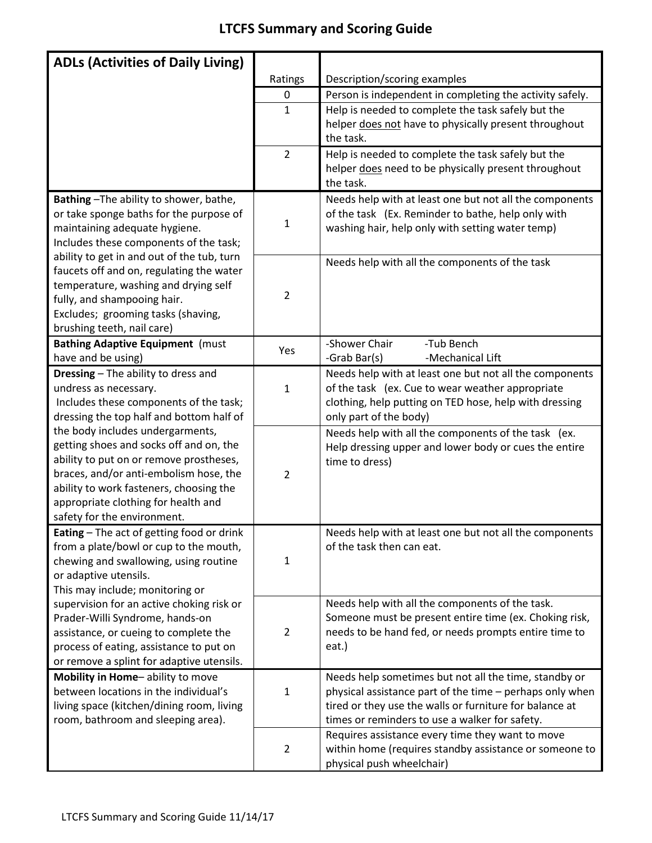## **LTCFS Summary and Scoring Guide**

| <b>ADLs (Activities of Daily Living)</b>                                             |                |                                                                                                           |
|--------------------------------------------------------------------------------------|----------------|-----------------------------------------------------------------------------------------------------------|
|                                                                                      | Ratings        | Description/scoring examples                                                                              |
|                                                                                      | 0              | Person is independent in completing the activity safely.                                                  |
|                                                                                      | $\mathbf{1}$   | Help is needed to complete the task safely but the                                                        |
|                                                                                      |                | helper does not have to physically present throughout                                                     |
|                                                                                      |                | the task.                                                                                                 |
|                                                                                      | $\overline{2}$ | Help is needed to complete the task safely but the                                                        |
|                                                                                      |                | helper does need to be physically present throughout                                                      |
|                                                                                      |                | the task.                                                                                                 |
| Bathing-The ability to shower, bathe,                                                |                | Needs help with at least one but not all the components                                                   |
| or take sponge baths for the purpose of                                              |                | of the task (Ex. Reminder to bathe, help only with                                                        |
| maintaining adequate hygiene.                                                        | $\mathbf{1}$   | washing hair, help only with setting water temp)                                                          |
| Includes these components of the task;                                               |                |                                                                                                           |
| ability to get in and out of the tub, turn                                           |                | Needs help with all the components of the task                                                            |
| faucets off and on, regulating the water                                             |                |                                                                                                           |
| temperature, washing and drying self                                                 |                |                                                                                                           |
| fully, and shampooing hair.                                                          | $\overline{2}$ |                                                                                                           |
| Excludes; grooming tasks (shaving,                                                   |                |                                                                                                           |
| brushing teeth, nail care)                                                           |                |                                                                                                           |
| <b>Bathing Adaptive Equipment (must</b>                                              | Yes            | -Shower Chair<br>-Tub Bench                                                                               |
| have and be using)                                                                   |                | -Grab Bar(s)<br>-Mechanical Lift                                                                          |
| Dressing - The ability to dress and                                                  |                | Needs help with at least one but not all the components                                                   |
| undress as necessary.                                                                | $\mathbf{1}$   | of the task (ex. Cue to wear weather appropriate                                                          |
| Includes these components of the task;                                               |                | clothing, help putting on TED hose, help with dressing                                                    |
| dressing the top half and bottom half of                                             |                | only part of the body)                                                                                    |
| the body includes undergarments,                                                     |                | Needs help with all the components of the task (ex.                                                       |
| getting shoes and socks off and on, the                                              |                | Help dressing upper and lower body or cues the entire                                                     |
| ability to put on or remove prostheses,                                              |                | time to dress)                                                                                            |
| braces, and/or anti-embolism hose, the                                               | $\overline{2}$ |                                                                                                           |
| ability to work fasteners, choosing the                                              |                |                                                                                                           |
| appropriate clothing for health and                                                  |                |                                                                                                           |
| safety for the environment.                                                          |                |                                                                                                           |
| Eating - The act of getting food or drink                                            |                | Needs help with at least one but not all the components                                                   |
| from a plate/bowl or cup to the mouth,                                               |                | of the task then can eat.                                                                                 |
| chewing and swallowing, using routine                                                | $\mathbf{1}$   |                                                                                                           |
| or adaptive utensils.                                                                |                |                                                                                                           |
| This may include; monitoring or                                                      |                |                                                                                                           |
| supervision for an active choking risk or                                            |                | Needs help with all the components of the task.<br>Someone must be present entire time (ex. Choking risk, |
| Prader-Willi Syndrome, hands-on                                                      |                | needs to be hand fed, or needs prompts entire time to                                                     |
| assistance, or cueing to complete the                                                | $\overline{2}$ | eat.)                                                                                                     |
| process of eating, assistance to put on<br>or remove a splint for adaptive utensils. |                |                                                                                                           |
| Mobility in Home-ability to move                                                     |                | Needs help sometimes but not all the time, standby or                                                     |
| between locations in the individual's                                                | $\mathbf{1}$   | physical assistance part of the time - perhaps only when                                                  |
| living space (kitchen/dining room, living                                            |                | tired or they use the walls or furniture for balance at                                                   |
| room, bathroom and sleeping area).                                                   |                | times or reminders to use a walker for safety.                                                            |
|                                                                                      |                | Requires assistance every time they want to move                                                          |
|                                                                                      | $\overline{2}$ | within home (requires standby assistance or someone to                                                    |
|                                                                                      |                | physical push wheelchair)                                                                                 |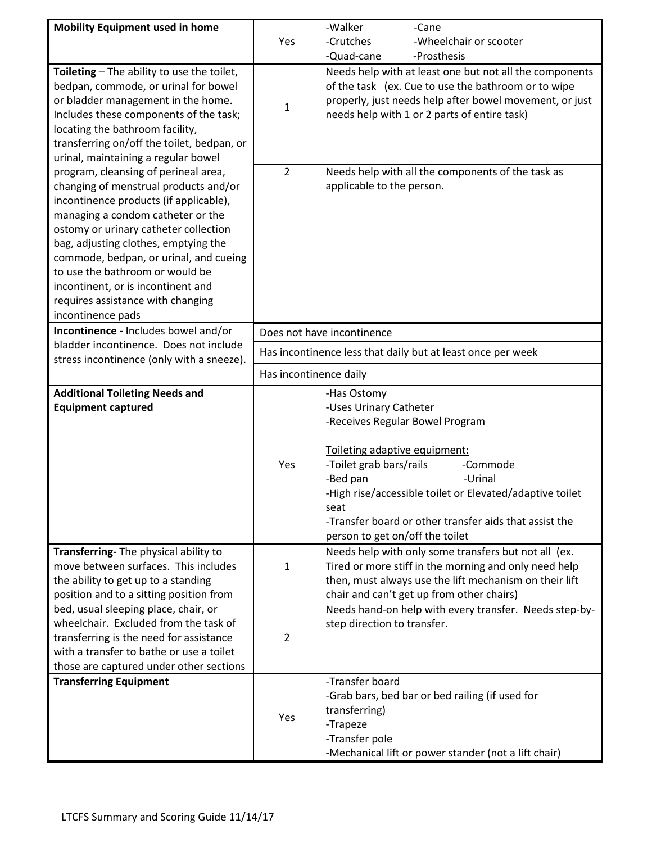| <b>Mobility Equipment used in home</b>                                                                                                                                                                                                                                                                                                                                                                                     |                                                             | -Walker<br>-Cane                                                                                                                                                                                                                                                                                                                         |  |  |
|----------------------------------------------------------------------------------------------------------------------------------------------------------------------------------------------------------------------------------------------------------------------------------------------------------------------------------------------------------------------------------------------------------------------------|-------------------------------------------------------------|------------------------------------------------------------------------------------------------------------------------------------------------------------------------------------------------------------------------------------------------------------------------------------------------------------------------------------------|--|--|
|                                                                                                                                                                                                                                                                                                                                                                                                                            | Yes                                                         | -Crutches<br>-Wheelchair or scooter                                                                                                                                                                                                                                                                                                      |  |  |
|                                                                                                                                                                                                                                                                                                                                                                                                                            |                                                             | -Quad-cane<br>-Prosthesis                                                                                                                                                                                                                                                                                                                |  |  |
| Toileting - The ability to use the toilet,<br>bedpan, commode, or urinal for bowel<br>or bladder management in the home.<br>Includes these components of the task;<br>locating the bathroom facility,<br>transferring on/off the toilet, bedpan, or<br>urinal, maintaining a regular bowel                                                                                                                                 | $\mathbf{1}$                                                | Needs help with at least one but not all the components<br>of the task (ex. Cue to use the bathroom or to wipe<br>properly, just needs help after bowel movement, or just<br>needs help with 1 or 2 parts of entire task)                                                                                                                |  |  |
| program, cleansing of perineal area,<br>changing of menstrual products and/or<br>incontinence products (if applicable),<br>managing a condom catheter or the<br>ostomy or urinary catheter collection<br>bag, adjusting clothes, emptying the<br>commode, bedpan, or urinal, and cueing<br>to use the bathroom or would be<br>incontinent, or is incontinent and<br>requires assistance with changing<br>incontinence pads | $\overline{2}$                                              | Needs help with all the components of the task as<br>applicable to the person.                                                                                                                                                                                                                                                           |  |  |
| Incontinence - Includes bowel and/or                                                                                                                                                                                                                                                                                                                                                                                       |                                                             | Does not have incontinence                                                                                                                                                                                                                                                                                                               |  |  |
| bladder incontinence. Does not include<br>stress incontinence (only with a sneeze).                                                                                                                                                                                                                                                                                                                                        | Has incontinence less that daily but at least once per week |                                                                                                                                                                                                                                                                                                                                          |  |  |
|                                                                                                                                                                                                                                                                                                                                                                                                                            | Has incontinence daily                                      |                                                                                                                                                                                                                                                                                                                                          |  |  |
| <b>Additional Toileting Needs and</b><br><b>Equipment captured</b>                                                                                                                                                                                                                                                                                                                                                         | Yes                                                         | -Has Ostomy<br>-Uses Urinary Catheter<br>-Receives Regular Bowel Program<br>Toileting adaptive equipment:<br>-Toilet grab bars/rails<br>-Commode<br>-Bed pan<br>-Urinal<br>-High rise/accessible toilet or Elevated/adaptive toilet<br>seat<br>-Transfer board or other transfer aids that assist the<br>person to get on/off the toilet |  |  |
| Transferring- The physical ability to<br>move between surfaces. This includes<br>the ability to get up to a standing<br>position and to a sitting position from                                                                                                                                                                                                                                                            | $\mathbf{1}$                                                | Needs help with only some transfers but not all (ex.<br>Tired or more stiff in the morning and only need help<br>then, must always use the lift mechanism on their lift<br>chair and can't get up from other chairs)                                                                                                                     |  |  |
| bed, usual sleeping place, chair, or<br>wheelchair. Excluded from the task of<br>transferring is the need for assistance<br>with a transfer to bathe or use a toilet<br>those are captured under other sections                                                                                                                                                                                                            | $\overline{2}$                                              | Needs hand-on help with every transfer. Needs step-by-<br>step direction to transfer.                                                                                                                                                                                                                                                    |  |  |
| <b>Transferring Equipment</b>                                                                                                                                                                                                                                                                                                                                                                                              | Yes                                                         | -Transfer board<br>-Grab bars, bed bar or bed railing (if used for<br>transferring)<br>-Trapeze<br>-Transfer pole<br>-Mechanical lift or power stander (not a lift chair)                                                                                                                                                                |  |  |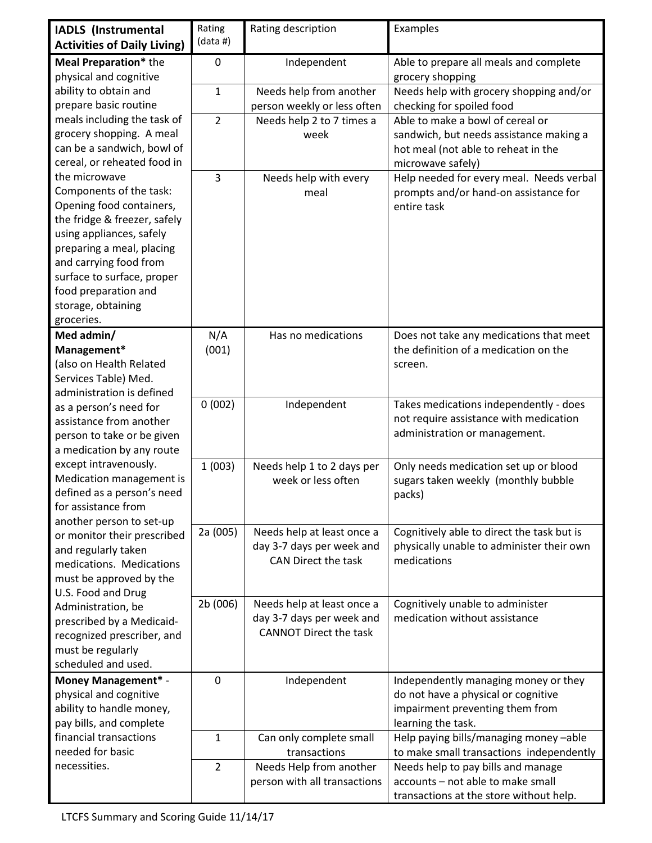| <b>IADLS</b> (Instrumental                        | Rating         | Rating description            | Examples                                   |
|---------------------------------------------------|----------------|-------------------------------|--------------------------------------------|
| <b>Activities of Daily Living)</b>                | (data #)       |                               |                                            |
| Meal Preparation* the                             | $\mathbf 0$    | Independent                   | Able to prepare all meals and complete     |
| physical and cognitive                            |                |                               | grocery shopping                           |
| ability to obtain and                             | $\mathbf{1}$   | Needs help from another       | Needs help with grocery shopping and/or    |
| prepare basic routine                             |                | person weekly or less often   | checking for spoiled food                  |
| meals including the task of                       | $\overline{2}$ | Needs help 2 to 7 times a     | Able to make a bowl of cereal or           |
| grocery shopping. A meal                          |                | week                          | sandwich, but needs assistance making a    |
| can be a sandwich, bowl of                        |                |                               | hot meal (not able to reheat in the        |
| cereal, or reheated food in                       |                |                               | microwave safely)                          |
| the microwave                                     | $\overline{3}$ | Needs help with every         | Help needed for every meal. Needs verbal   |
| Components of the task:                           |                | meal                          | prompts and/or hand-on assistance for      |
| Opening food containers,                          |                |                               | entire task                                |
| the fridge & freezer, safely                      |                |                               |                                            |
| using appliances, safely                          |                |                               |                                            |
| preparing a meal, placing                         |                |                               |                                            |
| and carrying food from                            |                |                               |                                            |
| surface to surface, proper                        |                |                               |                                            |
| food preparation and                              |                |                               |                                            |
| storage, obtaining                                |                |                               |                                            |
| groceries.                                        |                |                               |                                            |
| Med admin/                                        | N/A            | Has no medications            | Does not take any medications that meet    |
| Management*                                       | (001)          |                               | the definition of a medication on the      |
| (also on Health Related                           |                |                               | screen.                                    |
| Services Table) Med.<br>administration is defined |                |                               |                                            |
| as a person's need for                            | 0(002)         | Independent                   | Takes medications independently - does     |
| assistance from another                           |                |                               | not require assistance with medication     |
| person to take or be given                        |                |                               | administration or management.              |
| a medication by any route                         |                |                               |                                            |
| except intravenously.                             | 1(003)         | Needs help 1 to 2 days per    | Only needs medication set up or blood      |
| Medication management is                          |                | week or less often            | sugars taken weekly (monthly bubble        |
| defined as a person's need                        |                |                               | packs)                                     |
| for assistance from                               |                |                               |                                            |
| another person to set-up                          |                |                               |                                            |
| or monitor their prescribed                       | 2a (005)       | Needs help at least once a    | Cognitively able to direct the task but is |
| and regularly taken                               |                | day 3-7 days per week and     | physically unable to administer their own  |
| medications. Medications                          |                | CAN Direct the task           | medications                                |
| must be approved by the                           |                |                               |                                            |
| U.S. Food and Drug                                |                |                               |                                            |
| Administration, be                                | 2b (006)       | Needs help at least once a    | Cognitively unable to administer           |
| prescribed by a Medicaid-                         |                | day 3-7 days per week and     | medication without assistance              |
| recognized prescriber, and                        |                | <b>CANNOT Direct the task</b> |                                            |
| must be regularly                                 |                |                               |                                            |
| scheduled and used.                               |                |                               |                                            |
| <b>Money Management* -</b>                        | 0              | Independent                   | Independently managing money or they       |
| physical and cognitive                            |                |                               | do not have a physical or cognitive        |
| ability to handle money,                          |                |                               | impairment preventing them from            |
| pay bills, and complete                           |                |                               | learning the task.                         |
| financial transactions                            | 1              | Can only complete small       | Help paying bills/managing money-able      |
| needed for basic                                  |                | transactions                  | to make small transactions independently   |
| necessities.                                      | $\overline{2}$ | Needs Help from another       | Needs help to pay bills and manage         |
|                                                   |                | person with all transactions  | accounts - not able to make small          |
|                                                   |                |                               | transactions at the store without help.    |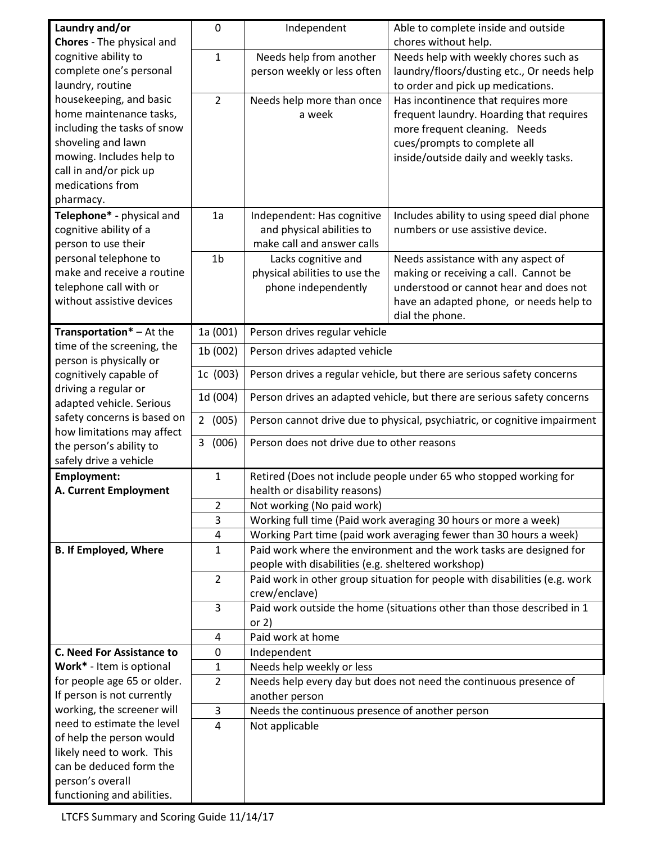| Laundry and/or                                          | 0              | Independent                                                               | Able to complete inside and outside                                        |  |
|---------------------------------------------------------|----------------|---------------------------------------------------------------------------|----------------------------------------------------------------------------|--|
| Chores - The physical and                               |                |                                                                           | chores without help.                                                       |  |
| cognitive ability to                                    | $\mathbf{1}$   | Needs help from another                                                   | Needs help with weekly chores such as                                      |  |
| complete one's personal                                 |                | person weekly or less often                                               | laundry/floors/dusting etc., Or needs help                                 |  |
| laundry, routine                                        |                |                                                                           | to order and pick up medications.                                          |  |
| housekeeping, and basic                                 | $\overline{2}$ | Needs help more than once                                                 | Has incontinence that requires more                                        |  |
| home maintenance tasks,                                 |                | a week                                                                    | frequent laundry. Hoarding that requires                                   |  |
| including the tasks of snow                             |                |                                                                           | more frequent cleaning. Needs                                              |  |
| shoveling and lawn                                      |                |                                                                           | cues/prompts to complete all                                               |  |
| mowing. Includes help to                                |                |                                                                           | inside/outside daily and weekly tasks.                                     |  |
| call in and/or pick up                                  |                |                                                                           |                                                                            |  |
| medications from                                        |                |                                                                           |                                                                            |  |
| pharmacy.                                               |                |                                                                           |                                                                            |  |
| Telephone* - physical and                               | 1a             | Independent: Has cognitive                                                | Includes ability to using speed dial phone                                 |  |
| cognitive ability of a                                  |                | and physical abilities to                                                 | numbers or use assistive device.                                           |  |
| person to use their                                     |                | make call and answer calls                                                |                                                                            |  |
| personal telephone to                                   | 1 <sub>b</sub> | Lacks cognitive and                                                       | Needs assistance with any aspect of                                        |  |
| make and receive a routine                              |                | physical abilities to use the                                             | making or receiving a call. Cannot be                                      |  |
| telephone call with or                                  |                | phone independently                                                       | understood or cannot hear and does not                                     |  |
| without assistive devices                               |                |                                                                           | have an adapted phone, or needs help to                                    |  |
| Transportation* - At the                                | 1a (001)       | Person drives regular vehicle                                             | dial the phone.                                                            |  |
| time of the screening, the                              | 1b (002)       | Person drives adapted vehicle                                             |                                                                            |  |
| person is physically or                                 |                |                                                                           |                                                                            |  |
| cognitively capable of                                  | 1c (003)       | Person drives a regular vehicle, but there are serious safety concerns    |                                                                            |  |
| driving a regular or                                    | 1d (004)       | Person drives an adapted vehicle, but there are serious safety concerns   |                                                                            |  |
| adapted vehicle. Serious<br>safety concerns is based on |                |                                                                           |                                                                            |  |
| how limitations may affect                              | 2(005)         | Person cannot drive due to physical, psychiatric, or cognitive impairment |                                                                            |  |
| the person's ability to                                 | 3(006)         | Person does not drive due to other reasons                                |                                                                            |  |
| safely drive a vehicle                                  |                |                                                                           |                                                                            |  |
| <b>Employment:</b>                                      | $\mathbf{1}$   | Retired (Does not include people under 65 who stopped working for         |                                                                            |  |
| <b>A. Current Employment</b>                            |                | health or disability reasons)                                             |                                                                            |  |
|                                                         | 2              | Not working (No paid work)                                                |                                                                            |  |
|                                                         | 3              |                                                                           | Working full time (Paid work averaging 30 hours or more a week)            |  |
|                                                         | 4              |                                                                           | Working Part time (paid work averaging fewer than 30 hours a week)         |  |
| <b>B. If Employed, Where</b>                            | $\mathbf{1}$   |                                                                           | Paid work where the environment and the work tasks are designed for        |  |
|                                                         |                | people with disabilities (e.g. sheltered workshop)                        |                                                                            |  |
|                                                         | $\overline{2}$ |                                                                           | Paid work in other group situation for people with disabilities (e.g. work |  |
|                                                         |                | crew/enclave)                                                             |                                                                            |  |
|                                                         | 3              |                                                                           | Paid work outside the home (situations other than those described in 1     |  |
|                                                         |                | or $2)$                                                                   |                                                                            |  |
|                                                         | 4              | Paid work at home                                                         |                                                                            |  |
| <b>C. Need For Assistance to</b>                        | $\mathbf{0}$   | Independent                                                               |                                                                            |  |
| Work* - Item is optional                                | 1              | Needs help weekly or less                                                 |                                                                            |  |
| for people age 65 or older.                             | $\overline{2}$ |                                                                           | Needs help every day but does not need the continuous presence of          |  |
| If person is not currently                              |                | another person                                                            |                                                                            |  |
| working, the screener will                              | $\overline{3}$ | Needs the continuous presence of another person                           |                                                                            |  |
| need to estimate the level                              | 4              | Not applicable                                                            |                                                                            |  |
| of help the person would<br>likely need to work. This   |                |                                                                           |                                                                            |  |
| can be deduced form the                                 |                |                                                                           |                                                                            |  |
| person's overall                                        |                |                                                                           |                                                                            |  |
| functioning and abilities.                              |                |                                                                           |                                                                            |  |

LTCFS Summary and Scoring Guide 11/14/17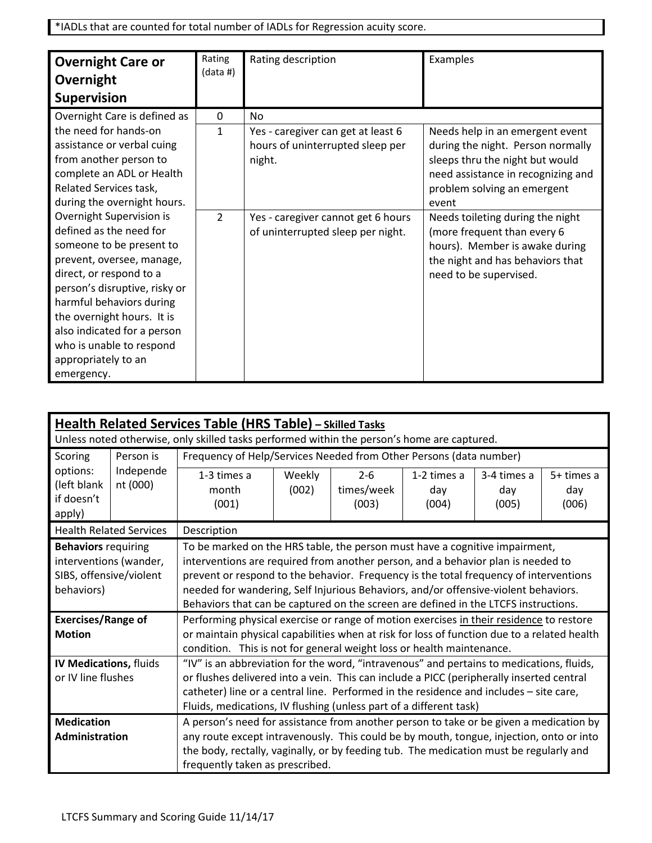\*IADLs that are counted for total number of IADLs for Regression acuity score.

| <b>Overnight Care or</b>      | Rating<br>(data#) | Rating description                 | Examples                           |
|-------------------------------|-------------------|------------------------------------|------------------------------------|
| Overnight                     |                   |                                    |                                    |
| <b>Supervision</b>            |                   |                                    |                                    |
| Overnight Care is defined as  | 0                 | <b>No</b>                          |                                    |
| the need for hands-on         | 1                 | Yes - caregiver can get at least 6 | Needs help in an emergent event    |
| assistance or verbal cuing    |                   | hours of uninterrupted sleep per   | during the night. Person normally  |
| from another person to        |                   | night.                             | sleeps thru the night but would    |
| complete an ADL or Health     |                   |                                    | need assistance in recognizing and |
| Related Services task,        |                   |                                    | problem solving an emergent        |
| during the overnight hours.   |                   |                                    | event                              |
| Overnight Supervision is      | $\overline{2}$    | Yes - caregiver cannot get 6 hours | Needs toileting during the night   |
| defined as the need for       |                   | of uninterrupted sleep per night.  | (more frequent than every 6        |
| someone to be present to      |                   |                                    | hours). Member is awake during     |
| prevent, oversee, manage,     |                   |                                    | the night and has behaviors that   |
| direct, or respond to a       |                   |                                    | need to be supervised.             |
| person's disruptive, risky or |                   |                                    |                                    |
| harmful behaviors during      |                   |                                    |                                    |
| the overnight hours. It is    |                   |                                    |                                    |
| also indicated for a person   |                   |                                    |                                    |
| who is unable to respond      |                   |                                    |                                    |
| appropriately to an           |                   |                                    |                                    |
| emergency.                    |                   |                                    |                                    |

|                                                                     | <b>Health Related Services Table (HRS Table)</b> – Skilled Tasks<br>Unless noted otherwise, only skilled tasks performed within the person's home are captured. |                                                                                                                                                                                                                                                                                                                                                                                                                                        |                                                                                                                                                                                                                                                                                                                |                                |                             |                             |                            |
|---------------------------------------------------------------------|-----------------------------------------------------------------------------------------------------------------------------------------------------------------|----------------------------------------------------------------------------------------------------------------------------------------------------------------------------------------------------------------------------------------------------------------------------------------------------------------------------------------------------------------------------------------------------------------------------------------|----------------------------------------------------------------------------------------------------------------------------------------------------------------------------------------------------------------------------------------------------------------------------------------------------------------|--------------------------------|-----------------------------|-----------------------------|----------------------------|
| Scoring                                                             | Person is                                                                                                                                                       | Frequency of Help/Services Needed from Other Persons (data number)                                                                                                                                                                                                                                                                                                                                                                     |                                                                                                                                                                                                                                                                                                                |                                |                             |                             |                            |
| options:<br>(left blank<br>if doesn't<br>apply)                     | Independe<br>nt (000)                                                                                                                                           | 1-3 times a<br>month<br>(001)                                                                                                                                                                                                                                                                                                                                                                                                          | Weekly<br>(002)                                                                                                                                                                                                                                                                                                | $2 - 6$<br>times/week<br>(003) | 1-2 times a<br>day<br>(004) | 3-4 times a<br>day<br>(005) | 5+ times a<br>day<br>(006) |
|                                                                     | <b>Health Related Services</b>                                                                                                                                  | Description                                                                                                                                                                                                                                                                                                                                                                                                                            |                                                                                                                                                                                                                                                                                                                |                                |                             |                             |                            |
| <b>Behaviors</b> requiring<br>SIBS, offensive/violent<br>behaviors) | interventions (wander,                                                                                                                                          | To be marked on the HRS table, the person must have a cognitive impairment,<br>interventions are required from another person, and a behavior plan is needed to<br>prevent or respond to the behavior. Frequency is the total frequency of interventions<br>needed for wandering, Self Injurious Behaviors, and/or offensive-violent behaviors.<br>Behaviors that can be captured on the screen are defined in the LTCFS instructions. |                                                                                                                                                                                                                                                                                                                |                                |                             |                             |                            |
| <b>Exercises/Range of</b><br><b>Motion</b>                          |                                                                                                                                                                 | Performing physical exercise or range of motion exercises in their residence to restore<br>or maintain physical capabilities when at risk for loss of function due to a related health<br>condition. This is not for general weight loss or health maintenance.                                                                                                                                                                        |                                                                                                                                                                                                                                                                                                                |                                |                             |                             |                            |
| IV Medications, fluids                                              |                                                                                                                                                                 | "IV" is an abbreviation for the word, "intravenous" and pertains to medications, fluids,                                                                                                                                                                                                                                                                                                                                               |                                                                                                                                                                                                                                                                                                                |                                |                             |                             |                            |
| or IV line flushes                                                  |                                                                                                                                                                 | or flushes delivered into a vein. This can include a PICC (peripherally inserted central<br>catheter) line or a central line. Performed in the residence and includes - site care,<br>Fluids, medications, IV flushing (unless part of a different task)                                                                                                                                                                               |                                                                                                                                                                                                                                                                                                                |                                |                             |                             |                            |
| <b>Medication</b><br>Administration                                 |                                                                                                                                                                 |                                                                                                                                                                                                                                                                                                                                                                                                                                        | A person's need for assistance from another person to take or be given a medication by<br>any route except intravenously. This could be by mouth, tongue, injection, onto or into<br>the body, rectally, vaginally, or by feeding tub. The medication must be regularly and<br>frequently taken as prescribed. |                                |                             |                             |                            |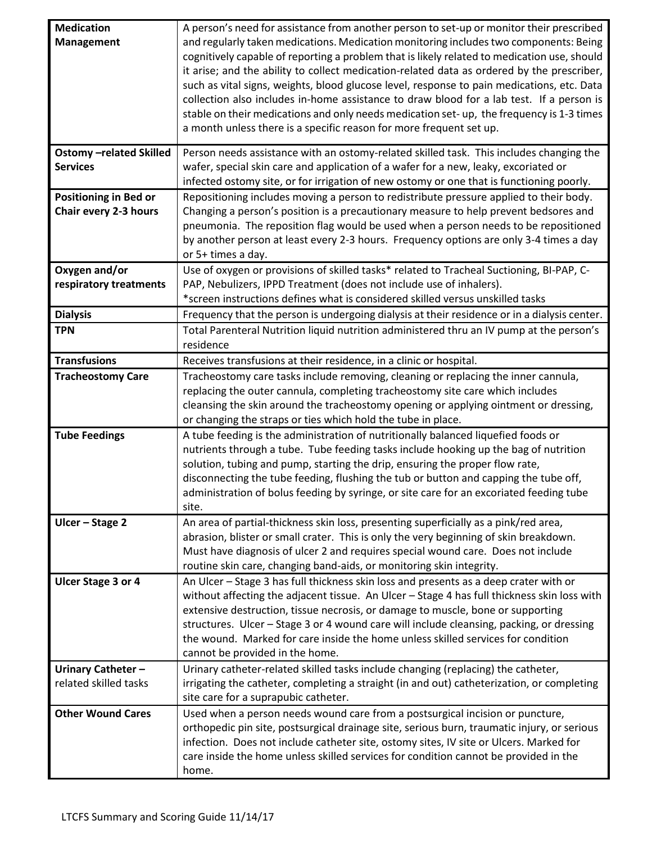| <b>Medication</b>             | A person's need for assistance from another person to set-up or monitor their prescribed                                                                                  |
|-------------------------------|---------------------------------------------------------------------------------------------------------------------------------------------------------------------------|
| <b>Management</b>             | and regularly taken medications. Medication monitoring includes two components: Being                                                                                     |
|                               | cognitively capable of reporting a problem that is likely related to medication use, should                                                                               |
|                               | it arise; and the ability to collect medication-related data as ordered by the prescriber,                                                                                |
|                               | such as vital signs, weights, blood glucose level, response to pain medications, etc. Data                                                                                |
|                               | collection also includes in-home assistance to draw blood for a lab test. If a person is                                                                                  |
|                               | stable on their medications and only needs medication set-up, the frequency is 1-3 times                                                                                  |
|                               | a month unless there is a specific reason for more frequent set up.                                                                                                       |
| <b>Ostomy-related Skilled</b> | Person needs assistance with an ostomy-related skilled task. This includes changing the                                                                                   |
| <b>Services</b>               | wafer, special skin care and application of a wafer for a new, leaky, excoriated or                                                                                       |
|                               | infected ostomy site, or for irrigation of new ostomy or one that is functioning poorly.                                                                                  |
| <b>Positioning in Bed or</b>  | Repositioning includes moving a person to redistribute pressure applied to their body.                                                                                    |
| Chair every 2-3 hours         | Changing a person's position is a precautionary measure to help prevent bedsores and                                                                                      |
|                               | pneumonia. The reposition flag would be used when a person needs to be repositioned                                                                                       |
|                               | by another person at least every 2-3 hours. Frequency options are only 3-4 times a day                                                                                    |
|                               | or 5+ times a day.                                                                                                                                                        |
| Oxygen and/or                 | Use of oxygen or provisions of skilled tasks* related to Tracheal Suctioning, BI-PAP, C-                                                                                  |
| respiratory treatments        | PAP, Nebulizers, IPPD Treatment (does not include use of inhalers).<br>*screen instructions defines what is considered skilled versus unskilled tasks                     |
|                               |                                                                                                                                                                           |
| <b>Dialysis</b>               | Frequency that the person is undergoing dialysis at their residence or in a dialysis center.                                                                              |
| <b>TPN</b>                    | Total Parenteral Nutrition liquid nutrition administered thru an IV pump at the person's                                                                                  |
|                               | residence                                                                                                                                                                 |
| <b>Transfusions</b>           | Receives transfusions at their residence, in a clinic or hospital.                                                                                                        |
| <b>Tracheostomy Care</b>      | Tracheostomy care tasks include removing, cleaning or replacing the inner cannula,                                                                                        |
|                               | replacing the outer cannula, completing tracheostomy site care which includes                                                                                             |
|                               | cleansing the skin around the tracheostomy opening or applying ointment or dressing,                                                                                      |
|                               | or changing the straps or ties which hold the tube in place.                                                                                                              |
| <b>Tube Feedings</b>          | A tube feeding is the administration of nutritionally balanced liquefied foods or<br>nutrients through a tube. Tube feeding tasks include hooking up the bag of nutrition |
|                               | solution, tubing and pump, starting the drip, ensuring the proper flow rate,                                                                                              |
|                               | disconnecting the tube feeding, flushing the tub or button and capping the tube off,                                                                                      |
|                               | administration of bolus feeding by syringe, or site care for an excoriated feeding tube                                                                                   |
|                               | site.                                                                                                                                                                     |
| Ulcer - Stage 2               | An area of partial-thickness skin loss, presenting superficially as a pink/red area,                                                                                      |
|                               | abrasion, blister or small crater. This is only the very beginning of skin breakdown.                                                                                     |
|                               | Must have diagnosis of ulcer 2 and requires special wound care. Does not include                                                                                          |
|                               | routine skin care, changing band-aids, or monitoring skin integrity.                                                                                                      |
| <b>Ulcer Stage 3 or 4</b>     | An Ulcer - Stage 3 has full thickness skin loss and presents as a deep crater with or                                                                                     |
|                               | without affecting the adjacent tissue. An Ulcer - Stage 4 has full thickness skin loss with                                                                               |
|                               | extensive destruction, tissue necrosis, or damage to muscle, bone or supporting                                                                                           |
|                               | structures. Ulcer - Stage 3 or 4 wound care will include cleansing, packing, or dressing                                                                                  |
|                               | the wound. Marked for care inside the home unless skilled services for condition                                                                                          |
|                               | cannot be provided in the home.                                                                                                                                           |
| Urinary Catheter-             | Urinary catheter-related skilled tasks include changing (replacing) the catheter,                                                                                         |
| related skilled tasks         | irrigating the catheter, completing a straight (in and out) catheterization, or completing                                                                                |
|                               | site care for a suprapubic catheter.                                                                                                                                      |
| <b>Other Wound Cares</b>      | Used when a person needs wound care from a postsurgical incision or puncture,                                                                                             |
|                               | orthopedic pin site, postsurgical drainage site, serious burn, traumatic injury, or serious                                                                               |
|                               | infection. Does not include catheter site, ostomy sites, IV site or Ulcers. Marked for                                                                                    |
|                               | care inside the home unless skilled services for condition cannot be provided in the<br>home.                                                                             |
|                               |                                                                                                                                                                           |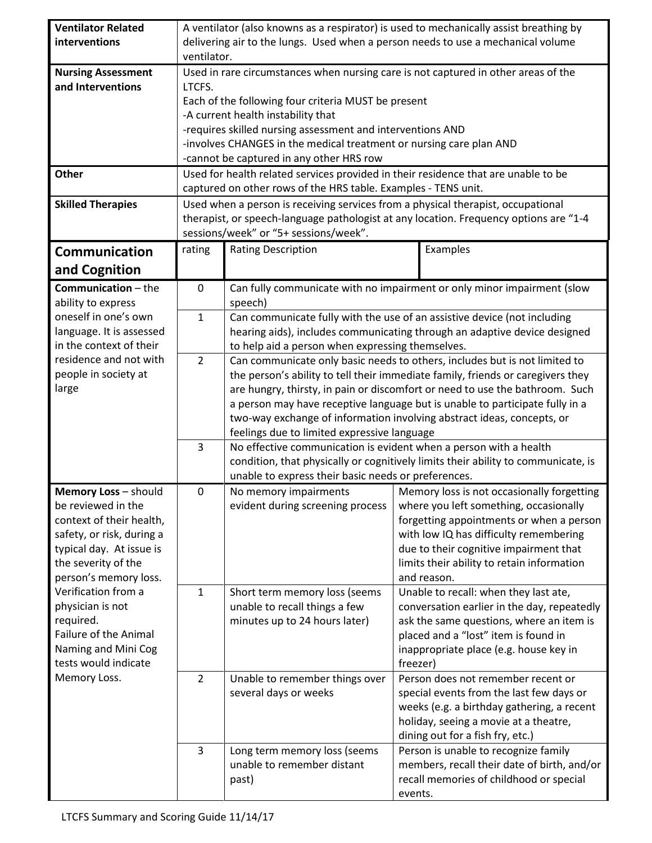| <b>Ventilator Related</b>                    | A ventilator (also knowns as a respirator) is used to mechanically assist breathing by |                                                                                    |          |                                                                                       |  |  |
|----------------------------------------------|----------------------------------------------------------------------------------------|------------------------------------------------------------------------------------|----------|---------------------------------------------------------------------------------------|--|--|
| interventions                                | delivering air to the lungs. Used when a person needs to use a mechanical volume       |                                                                                    |          |                                                                                       |  |  |
|                                              | ventilator.                                                                            |                                                                                    |          |                                                                                       |  |  |
| <b>Nursing Assessment</b>                    |                                                                                        | Used in rare circumstances when nursing care is not captured in other areas of the |          |                                                                                       |  |  |
| and Interventions                            | LTCFS.                                                                                 |                                                                                    |          |                                                                                       |  |  |
|                                              | Each of the following four criteria MUST be present                                    |                                                                                    |          |                                                                                       |  |  |
|                                              |                                                                                        | -A current health instability that                                                 |          |                                                                                       |  |  |
|                                              |                                                                                        | -requires skilled nursing assessment and interventions AND                         |          |                                                                                       |  |  |
|                                              |                                                                                        | -involves CHANGES in the medical treatment or nursing care plan AND                |          |                                                                                       |  |  |
|                                              |                                                                                        | -cannot be captured in any other HRS row                                           |          |                                                                                       |  |  |
| <b>Other</b>                                 |                                                                                        | Used for health related services provided in their residence that are unable to be |          |                                                                                       |  |  |
|                                              |                                                                                        | captured on other rows of the HRS table. Examples - TENS unit.                     |          |                                                                                       |  |  |
| <b>Skilled Therapies</b>                     |                                                                                        | Used when a person is receiving services from a physical therapist, occupational   |          |                                                                                       |  |  |
|                                              |                                                                                        |                                                                                    |          | therapist, or speech-language pathologist at any location. Frequency options are "1-4 |  |  |
|                                              |                                                                                        | sessions/week" or "5+ sessions/week".                                              |          |                                                                                       |  |  |
| <b>Communication</b>                         | rating                                                                                 | <b>Rating Description</b>                                                          |          | Examples                                                                              |  |  |
| and Cognition                                |                                                                                        |                                                                                    |          |                                                                                       |  |  |
| <b>Communication</b> - the                   | 0                                                                                      |                                                                                    |          | Can fully communicate with no impairment or only minor impairment (slow               |  |  |
| ability to express                           |                                                                                        | speech)                                                                            |          |                                                                                       |  |  |
| oneself in one's own                         | $\mathbf{1}$                                                                           | Can communicate fully with the use of an assistive device (not including           |          |                                                                                       |  |  |
| language. It is assessed                     |                                                                                        |                                                                                    |          | hearing aids), includes communicating through an adaptive device designed             |  |  |
| in the context of their                      |                                                                                        | to help aid a person when expressing themselves.                                   |          |                                                                                       |  |  |
| residence and not with                       | $\overline{2}$                                                                         |                                                                                    |          | Can communicate only basic needs to others, includes but is not limited to            |  |  |
| people in society at                         |                                                                                        |                                                                                    |          | the person's ability to tell their immediate family, friends or caregivers they       |  |  |
| large                                        |                                                                                        | are hungry, thirsty, in pain or discomfort or need to use the bathroom. Such       |          |                                                                                       |  |  |
|                                              |                                                                                        |                                                                                    |          | a person may have receptive language but is unable to participate fully in a          |  |  |
|                                              |                                                                                        | two-way exchange of information involving abstract ideas, concepts, or             |          |                                                                                       |  |  |
|                                              |                                                                                        | feelings due to limited expressive language                                        |          |                                                                                       |  |  |
|                                              | 3                                                                                      | No effective communication is evident when a person with a health                  |          |                                                                                       |  |  |
|                                              |                                                                                        | condition, that physically or cognitively limits their ability to communicate, is  |          |                                                                                       |  |  |
|                                              |                                                                                        | unable to express their basic needs or preferences.                                |          |                                                                                       |  |  |
| Memory Loss - should                         | 0                                                                                      | No memory impairments                                                              |          | Memory loss is not occasionally forgetting                                            |  |  |
| be reviewed in the                           |                                                                                        | evident during screening process                                                   |          | where you left something, occasionally                                                |  |  |
| context of their health,                     |                                                                                        |                                                                                    |          | forgetting appointments or when a person                                              |  |  |
| safety, or risk, during a                    |                                                                                        |                                                                                    |          | with low IQ has difficulty remembering                                                |  |  |
| typical day. At issue is                     |                                                                                        |                                                                                    |          | due to their cognitive impairment that                                                |  |  |
| the severity of the<br>person's memory loss. |                                                                                        |                                                                                    |          | limits their ability to retain information<br>and reason.                             |  |  |
| Verification from a                          | $\mathbf{1}$                                                                           | Short term memory loss (seems                                                      |          | Unable to recall: when they last ate,                                                 |  |  |
| physician is not                             |                                                                                        | unable to recall things a few                                                      |          | conversation earlier in the day, repeatedly                                           |  |  |
| required.                                    |                                                                                        | minutes up to 24 hours later)                                                      |          | ask the same questions, where an item is                                              |  |  |
| Failure of the Animal                        |                                                                                        |                                                                                    |          | placed and a "lost" item is found in                                                  |  |  |
| Naming and Mini Cog                          |                                                                                        |                                                                                    |          | inappropriate place (e.g. house key in                                                |  |  |
| tests would indicate                         |                                                                                        |                                                                                    | freezer) |                                                                                       |  |  |
| Memory Loss.                                 | $\overline{2}$                                                                         | Unable to remember things over                                                     |          | Person does not remember recent or                                                    |  |  |
|                                              |                                                                                        | several days or weeks                                                              |          | special events from the last few days or                                              |  |  |
|                                              |                                                                                        |                                                                                    |          | weeks (e.g. a birthday gathering, a recent                                            |  |  |
|                                              |                                                                                        |                                                                                    |          | holiday, seeing a movie at a theatre,                                                 |  |  |
|                                              |                                                                                        |                                                                                    |          | dining out for a fish fry, etc.)                                                      |  |  |
|                                              | 3                                                                                      | Long term memory loss (seems                                                       |          | Person is unable to recognize family                                                  |  |  |
|                                              |                                                                                        | unable to remember distant                                                         |          | members, recall their date of birth, and/or                                           |  |  |
|                                              |                                                                                        | past)                                                                              |          | recall memories of childhood or special                                               |  |  |
|                                              |                                                                                        |                                                                                    | events.  |                                                                                       |  |  |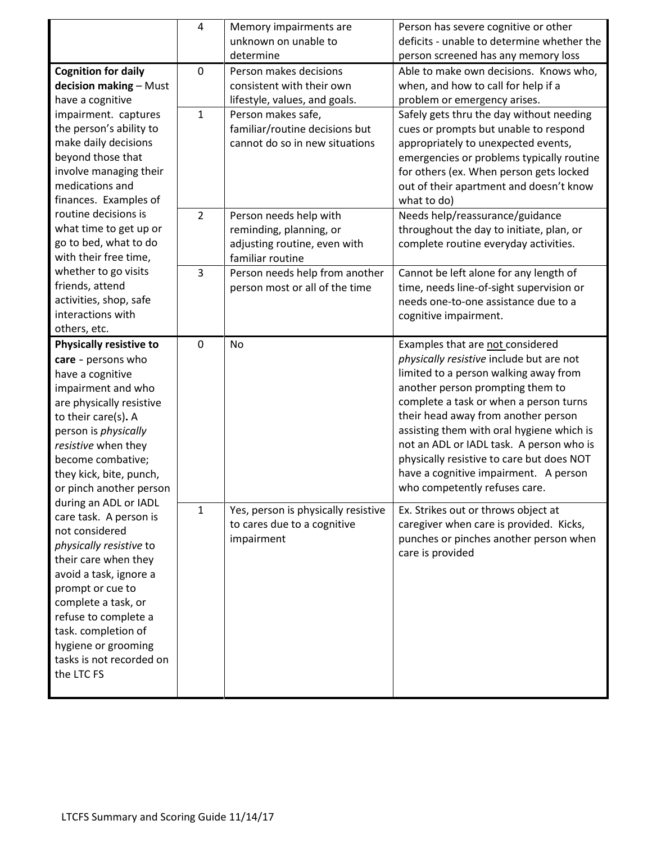|                                | 4              | Memory impairments are              | Person has severe cognitive or other       |
|--------------------------------|----------------|-------------------------------------|--------------------------------------------|
|                                |                | unknown on unable to                | deficits - unable to determine whether the |
|                                |                | determine                           | person screened has any memory loss        |
| <b>Cognition for daily</b>     | $\mathbf 0$    | Person makes decisions              | Able to make own decisions. Knows who,     |
| decision making - Must         |                | consistent with their own           | when, and how to call for help if a        |
| have a cognitive               |                | lifestyle, values, and goals.       | problem or emergency arises.               |
| impairment. captures           | $\mathbf{1}$   | Person makes safe,                  | Safely gets thru the day without needing   |
| the person's ability to        |                | familiar/routine decisions but      | cues or prompts but unable to respond      |
| make daily decisions           |                | cannot do so in new situations      | appropriately to unexpected events,        |
| beyond those that              |                |                                     | emergencies or problems typically routine  |
| involve managing their         |                |                                     | for others (ex. When person gets locked    |
| medications and                |                |                                     | out of their apartment and doesn't know    |
| finances. Examples of          |                |                                     | what to do)                                |
| routine decisions is           | $\overline{2}$ | Person needs help with              | Needs help/reassurance/guidance            |
| what time to get up or         |                | reminding, planning, or             | throughout the day to initiate, plan, or   |
| go to bed, what to do          |                | adjusting routine, even with        | complete routine everyday activities.      |
| with their free time,          |                | familiar routine                    |                                            |
| whether to go visits           | 3              | Person needs help from another      | Cannot be left alone for any length of     |
| friends, attend                |                | person most or all of the time      | time, needs line-of-sight supervision or   |
| activities, shop, safe         |                |                                     | needs one-to-one assistance due to a       |
| interactions with              |                |                                     | cognitive impairment.                      |
| others, etc.                   |                |                                     |                                            |
| <b>Physically resistive to</b> | 0              | <b>No</b>                           | Examples that are not considered           |
| care - persons who             |                |                                     | physically resistive include but are not   |
| have a cognitive               |                |                                     | limited to a person walking away from      |
| impairment and who             |                |                                     | another person prompting them to           |
| are physically resistive       |                |                                     | complete a task or when a person turns     |
| to their care(s). A            |                |                                     | their head away from another person        |
| person is physically           |                |                                     | assisting them with oral hygiene which is  |
| resistive when they            |                |                                     | not an ADL or IADL task. A person who is   |
| become combative;              |                |                                     | physically resistive to care but does NOT  |
| they kick, bite, punch,        |                |                                     | have a cognitive impairment. A person      |
| or pinch another person        |                |                                     | who competently refuses care.              |
| during an ADL or IADL          | $\mathbf{1}$   | Yes, person is physically resistive | Ex. Strikes out or throws object at        |
| care task. A person is         |                | to cares due to a cognitive         | caregiver when care is provided. Kicks,    |
| not considered                 |                | impairment                          | punches or pinches another person when     |
| physically resistive to        |                |                                     | care is provided                           |
| their care when they           |                |                                     |                                            |
| avoid a task, ignore a         |                |                                     |                                            |
| prompt or cue to               |                |                                     |                                            |
| complete a task, or            |                |                                     |                                            |
| refuse to complete a           |                |                                     |                                            |
| task. completion of            |                |                                     |                                            |
| hygiene or grooming            |                |                                     |                                            |
| tasks is not recorded on       |                |                                     |                                            |
| the LTC FS                     |                |                                     |                                            |
|                                |                |                                     |                                            |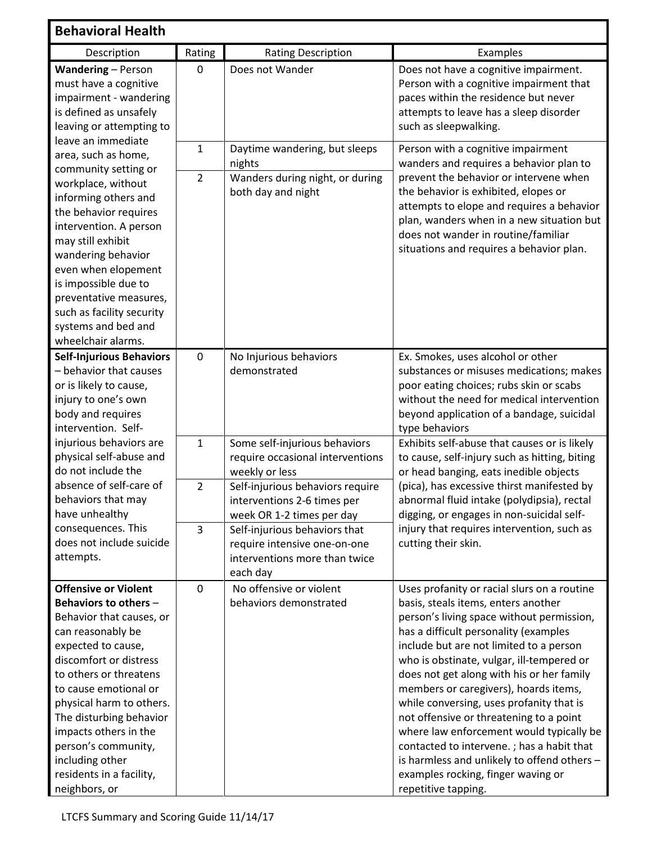| <b>Behavioral Health</b>                                                                                                                                                                                                                                                                                                                                                        |                                |                                                                                                            |                                                                                                                                                                                                                                                                                                                                                                                                                                                                                                                                                                                                                                                    |
|---------------------------------------------------------------------------------------------------------------------------------------------------------------------------------------------------------------------------------------------------------------------------------------------------------------------------------------------------------------------------------|--------------------------------|------------------------------------------------------------------------------------------------------------|----------------------------------------------------------------------------------------------------------------------------------------------------------------------------------------------------------------------------------------------------------------------------------------------------------------------------------------------------------------------------------------------------------------------------------------------------------------------------------------------------------------------------------------------------------------------------------------------------------------------------------------------------|
| Description                                                                                                                                                                                                                                                                                                                                                                     | Rating                         | <b>Rating Description</b>                                                                                  | Examples                                                                                                                                                                                                                                                                                                                                                                                                                                                                                                                                                                                                                                           |
| Wandering - Person<br>must have a cognitive<br>impairment - wandering<br>is defined as unsafely<br>leaving or attempting to                                                                                                                                                                                                                                                     | $\mathbf 0$                    | Does not Wander                                                                                            | Does not have a cognitive impairment.<br>Person with a cognitive impairment that<br>paces within the residence but never<br>attempts to leave has a sleep disorder<br>such as sleepwalking.                                                                                                                                                                                                                                                                                                                                                                                                                                                        |
| leave an immediate<br>area, such as home,<br>community setting or<br>workplace, without<br>informing others and<br>the behavior requires<br>intervention. A person<br>may still exhibit<br>wandering behavior<br>even when elopement<br>is impossible due to<br>preventative measures,<br>such as facility security<br>systems and bed and                                      | $\mathbf{1}$<br>$\overline{2}$ | Daytime wandering, but sleeps<br>nights<br>Wanders during night, or during<br>both day and night           | Person with a cognitive impairment<br>wanders and requires a behavior plan to<br>prevent the behavior or intervene when<br>the behavior is exhibited, elopes or<br>attempts to elope and requires a behavior<br>plan, wanders when in a new situation but<br>does not wander in routine/familiar<br>situations and requires a behavior plan.                                                                                                                                                                                                                                                                                                       |
| wheelchair alarms.<br><b>Self-Injurious Behaviors</b><br>- behavior that causes<br>or is likely to cause,<br>injury to one's own<br>body and requires<br>intervention. Self-                                                                                                                                                                                                    | $\mathbf 0$                    | No Injurious behaviors<br>demonstrated                                                                     | Ex. Smokes, uses alcohol or other<br>substances or misuses medications; makes<br>poor eating choices; rubs skin or scabs<br>without the need for medical intervention<br>beyond application of a bandage, suicidal<br>type behaviors                                                                                                                                                                                                                                                                                                                                                                                                               |
| injurious behaviors are<br>physical self-abuse and<br>do not include the                                                                                                                                                                                                                                                                                                        | $\mathbf{1}$                   | Some self-injurious behaviors<br>require occasional interventions<br>weekly or less                        | Exhibits self-abuse that causes or is likely<br>to cause, self-injury such as hitting, biting<br>or head banging, eats inedible objects                                                                                                                                                                                                                                                                                                                                                                                                                                                                                                            |
| absence of self-care of<br>behaviors that may<br>have unhealthy                                                                                                                                                                                                                                                                                                                 | $\overline{2}$                 | Self-injurious behaviors require<br>interventions 2-6 times per<br>week OR 1-2 times per day               | (pica), has excessive thirst manifested by<br>abnormal fluid intake (polydipsia), rectal<br>digging, or engages in non-suicidal self-                                                                                                                                                                                                                                                                                                                                                                                                                                                                                                              |
| consequences. This<br>does not include suicide<br>attempts.                                                                                                                                                                                                                                                                                                                     | 3                              | Self-injurious behaviors that<br>require intensive one-on-one<br>interventions more than twice<br>each day | injury that requires intervention, such as<br>cutting their skin.                                                                                                                                                                                                                                                                                                                                                                                                                                                                                                                                                                                  |
| <b>Offensive or Violent</b><br>Behaviors to others -<br>Behavior that causes, or<br>can reasonably be<br>expected to cause,<br>discomfort or distress<br>to others or threatens<br>to cause emotional or<br>physical harm to others.<br>The disturbing behavior<br>impacts others in the<br>person's community,<br>including other<br>residents in a facility,<br>neighbors, or | $\mathbf 0$                    | No offensive or violent<br>behaviors demonstrated                                                          | Uses profanity or racial slurs on a routine<br>basis, steals items, enters another<br>person's living space without permission,<br>has a difficult personality (examples<br>include but are not limited to a person<br>who is obstinate, vulgar, ill-tempered or<br>does not get along with his or her family<br>members or caregivers), hoards items,<br>while conversing, uses profanity that is<br>not offensive or threatening to a point<br>where law enforcement would typically be<br>contacted to intervene.; has a habit that<br>is harmless and unlikely to offend others -<br>examples rocking, finger waving or<br>repetitive tapping. |